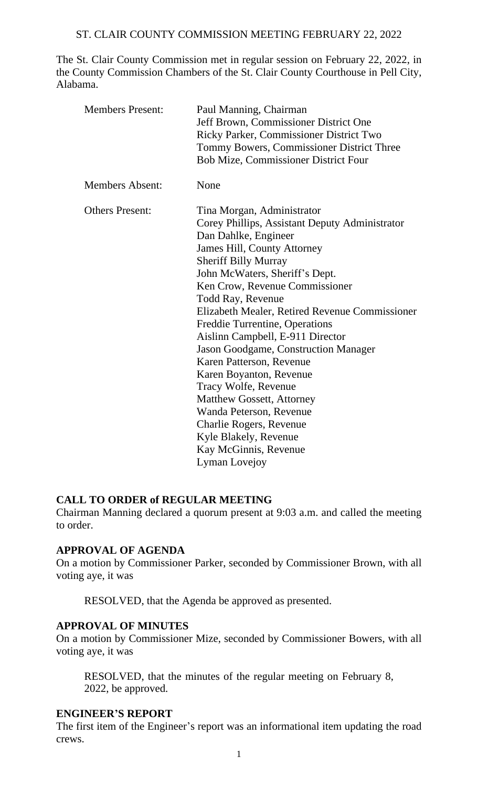The St. Clair County Commission met in regular session on February 22, 2022, in the County Commission Chambers of the St. Clair County Courthouse in Pell City, Alabama.

| <b>Members Present:</b> | Paul Manning, Chairman<br>Jeff Brown, Commissioner District One<br>Ricky Parker, Commissioner District Two<br>Tommy Bowers, Commissioner District Three<br><b>Bob Mize, Commissioner District Four</b>                                                                                                                                                                                                                                                                                                                                                                                                                                                                                       |
|-------------------------|----------------------------------------------------------------------------------------------------------------------------------------------------------------------------------------------------------------------------------------------------------------------------------------------------------------------------------------------------------------------------------------------------------------------------------------------------------------------------------------------------------------------------------------------------------------------------------------------------------------------------------------------------------------------------------------------|
| <b>Members Absent:</b>  | None                                                                                                                                                                                                                                                                                                                                                                                                                                                                                                                                                                                                                                                                                         |
| <b>Others Present:</b>  | Tina Morgan, Administrator<br>Corey Phillips, Assistant Deputy Administrator<br>Dan Dahlke, Engineer<br><b>James Hill, County Attorney</b><br><b>Sheriff Billy Murray</b><br>John McWaters, Sheriff's Dept.<br>Ken Crow, Revenue Commissioner<br><b>Todd Ray, Revenue</b><br>Elizabeth Mealer, Retired Revenue Commissioner<br>Freddie Turrentine, Operations<br>Aislinn Campbell, E-911 Director<br><b>Jason Goodgame, Construction Manager</b><br>Karen Patterson, Revenue<br>Karen Boyanton, Revenue<br>Tracy Wolfe, Revenue<br><b>Matthew Gossett, Attorney</b><br>Wanda Peterson, Revenue<br>Charlie Rogers, Revenue<br>Kyle Blakely, Revenue<br>Kay McGinnis, Revenue<br>Lyman Lovejoy |

## **CALL TO ORDER of REGULAR MEETING**

Chairman Manning declared a quorum present at 9:03 a.m. and called the meeting to order.

## **APPROVAL OF AGENDA**

On a motion by Commissioner Parker, seconded by Commissioner Brown, with all voting aye, it was

RESOLVED, that the Agenda be approved as presented.

## **APPROVAL OF MINUTES**

On a motion by Commissioner Mize, seconded by Commissioner Bowers, with all voting aye, it was

RESOLVED, that the minutes of the regular meeting on February 8, 2022, be approved.

### **ENGINEER'S REPORT**

The first item of the Engineer's report was an informational item updating the road crews.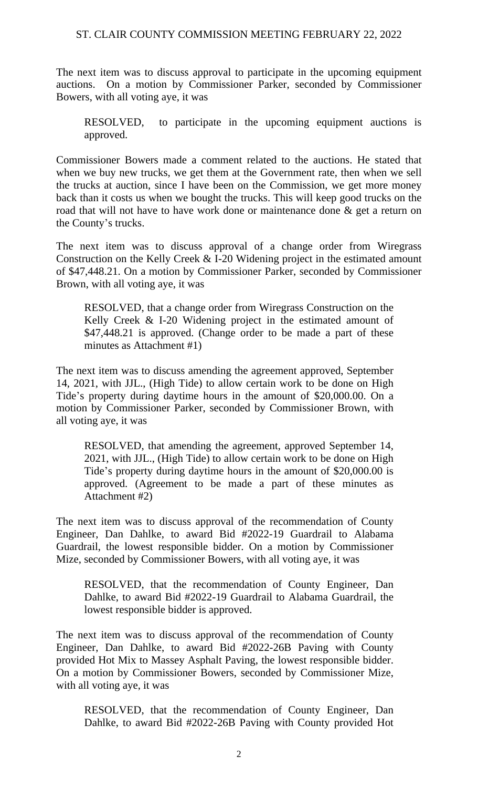The next item was to discuss approval to participate in the upcoming equipment auctions. On a motion by Commissioner Parker, seconded by Commissioner Bowers, with all voting aye, it was

RESOLVED, to participate in the upcoming equipment auctions is approved.

Commissioner Bowers made a comment related to the auctions. He stated that when we buy new trucks, we get them at the Government rate, then when we sell the trucks at auction, since I have been on the Commission, we get more money back than it costs us when we bought the trucks. This will keep good trucks on the road that will not have to have work done or maintenance done & get a return on the County's trucks.

The next item was to discuss approval of a change order from Wiregrass Construction on the Kelly Creek & I-20 Widening project in the estimated amount of \$47,448.21. On a motion by Commissioner Parker, seconded by Commissioner Brown, with all voting aye, it was

RESOLVED, that a change order from Wiregrass Construction on the Kelly Creek & I-20 Widening project in the estimated amount of \$47,448.21 is approved. (Change order to be made a part of these minutes as Attachment #1)

The next item was to discuss amending the agreement approved, September 14, 2021, with JJL., (High Tide) to allow certain work to be done on High Tide's property during daytime hours in the amount of \$20,000.00. On a motion by Commissioner Parker, seconded by Commissioner Brown, with all voting aye, it was

RESOLVED, that amending the agreement, approved September 14, 2021, with JJL., (High Tide) to allow certain work to be done on High Tide's property during daytime hours in the amount of \$20,000.00 is approved. (Agreement to be made a part of these minutes as Attachment #2)

The next item was to discuss approval of the recommendation of County Engineer, Dan Dahlke, to award Bid #2022-19 Guardrail to Alabama Guardrail, the lowest responsible bidder. On a motion by Commissioner Mize, seconded by Commissioner Bowers, with all voting aye, it was

RESOLVED, that the recommendation of County Engineer, Dan Dahlke, to award Bid #2022-19 Guardrail to Alabama Guardrail, the lowest responsible bidder is approved.

The next item was to discuss approval of the recommendation of County Engineer, Dan Dahlke, to award Bid #2022-26B Paving with County provided Hot Mix to Massey Asphalt Paving, the lowest responsible bidder. On a motion by Commissioner Bowers, seconded by Commissioner Mize, with all voting aye, it was

RESOLVED, that the recommendation of County Engineer, Dan Dahlke, to award Bid #2022-26B Paving with County provided Hot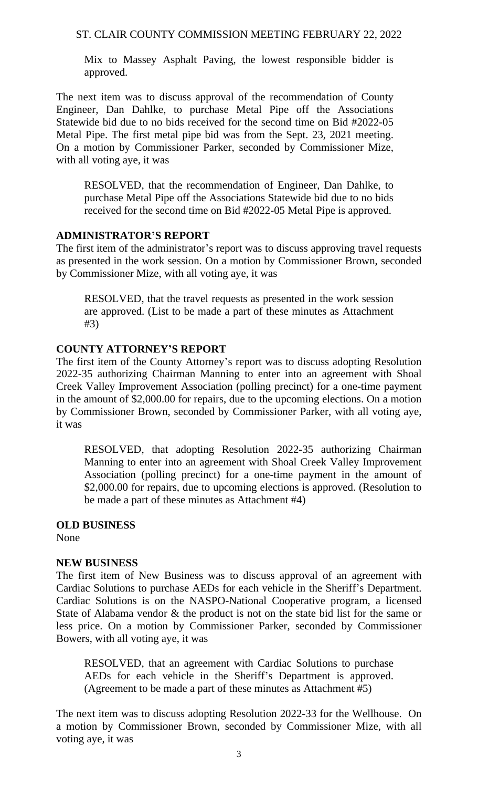Mix to Massey Asphalt Paving, the lowest responsible bidder is approved.

The next item was to discuss approval of the recommendation of County Engineer, Dan Dahlke, to purchase Metal Pipe off the Associations Statewide bid due to no bids received for the second time on Bid #2022-05 Metal Pipe. The first metal pipe bid was from the Sept. 23, 2021 meeting. On a motion by Commissioner Parker, seconded by Commissioner Mize, with all voting aye, it was

RESOLVED, that the recommendation of Engineer, Dan Dahlke, to purchase Metal Pipe off the Associations Statewide bid due to no bids received for the second time on Bid #2022-05 Metal Pipe is approved.

## **ADMINISTRATOR'S REPORT**

The first item of the administrator's report was to discuss approving travel requests as presented in the work session. On a motion by Commissioner Brown, seconded by Commissioner Mize, with all voting aye, it was

RESOLVED, that the travel requests as presented in the work session are approved. (List to be made a part of these minutes as Attachment #3)

### **COUNTY ATTORNEY'S REPORT**

The first item of the County Attorney's report was to discuss adopting Resolution 2022-35 authorizing Chairman Manning to enter into an agreement with Shoal Creek Valley Improvement Association (polling precinct) for a one-time payment in the amount of \$2,000.00 for repairs, due to the upcoming elections. On a motion by Commissioner Brown, seconded by Commissioner Parker, with all voting aye, it was

RESOLVED, that adopting Resolution 2022-35 authorizing Chairman Manning to enter into an agreement with Shoal Creek Valley Improvement Association (polling precinct) for a one-time payment in the amount of \$2,000.00 for repairs, due to upcoming elections is approved. (Resolution to be made a part of these minutes as Attachment #4)

# **OLD BUSINESS**

None

## **NEW BUSINESS**

The first item of New Business was to discuss approval of an agreement with Cardiac Solutions to purchase AEDs for each vehicle in the Sheriff's Department. Cardiac Solutions is on the NASPO-National Cooperative program, a licensed State of Alabama vendor & the product is not on the state bid list for the same or less price. On a motion by Commissioner Parker, seconded by Commissioner Bowers, with all voting aye, it was

RESOLVED, that an agreement with Cardiac Solutions to purchase AEDs for each vehicle in the Sheriff's Department is approved. (Agreement to be made a part of these minutes as Attachment #5)

The next item was to discuss adopting Resolution 2022-33 for the Wellhouse. On a motion by Commissioner Brown, seconded by Commissioner Mize, with all voting aye, it was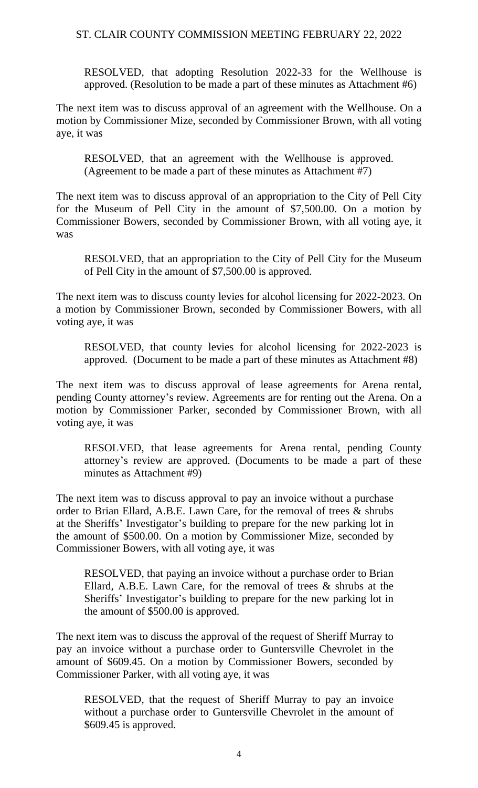RESOLVED, that adopting Resolution 2022-33 for the Wellhouse is approved. (Resolution to be made a part of these minutes as Attachment #6)

The next item was to discuss approval of an agreement with the Wellhouse. On a motion by Commissioner Mize, seconded by Commissioner Brown, with all voting aye, it was

RESOLVED, that an agreement with the Wellhouse is approved. (Agreement to be made a part of these minutes as Attachment #7)

The next item was to discuss approval of an appropriation to the City of Pell City for the Museum of Pell City in the amount of \$7,500.00. On a motion by Commissioner Bowers, seconded by Commissioner Brown, with all voting aye, it was

RESOLVED, that an appropriation to the City of Pell City for the Museum of Pell City in the amount of \$7,500.00 is approved.

The next item was to discuss county levies for alcohol licensing for 2022-2023. On a motion by Commissioner Brown, seconded by Commissioner Bowers, with all voting aye, it was

RESOLVED, that county levies for alcohol licensing for 2022-2023 is approved. (Document to be made a part of these minutes as Attachment #8)

The next item was to discuss approval of lease agreements for Arena rental, pending County attorney's review. Agreements are for renting out the Arena. On a motion by Commissioner Parker, seconded by Commissioner Brown, with all voting aye, it was

RESOLVED, that lease agreements for Arena rental, pending County attorney's review are approved. (Documents to be made a part of these minutes as Attachment #9)

The next item was to discuss approval to pay an invoice without a purchase order to Brian Ellard, A.B.E. Lawn Care, for the removal of trees & shrubs at the Sheriffs' Investigator's building to prepare for the new parking lot in the amount of \$500.00. On a motion by Commissioner Mize, seconded by Commissioner Bowers, with all voting aye, it was

RESOLVED, that paying an invoice without a purchase order to Brian Ellard, A.B.E. Lawn Care, for the removal of trees & shrubs at the Sheriffs' Investigator's building to prepare for the new parking lot in the amount of \$500.00 is approved.

The next item was to discuss the approval of the request of Sheriff Murray to pay an invoice without a purchase order to Guntersville Chevrolet in the amount of \$609.45. On a motion by Commissioner Bowers, seconded by Commissioner Parker, with all voting aye, it was

RESOLVED, that the request of Sheriff Murray to pay an invoice without a purchase order to Guntersville Chevrolet in the amount of \$609.45 is approved.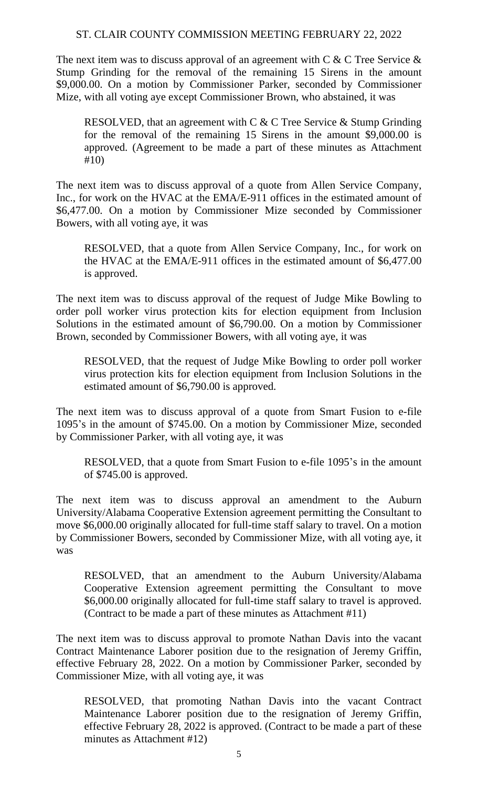The next item was to discuss approval of an agreement with  $C \& C$  Tree Service  $\&$ Stump Grinding for the removal of the remaining 15 Sirens in the amount \$9,000.00. On a motion by Commissioner Parker, seconded by Commissioner Mize, with all voting aye except Commissioner Brown, who abstained, it was

RESOLVED, that an agreement with C & C Tree Service & Stump Grinding for the removal of the remaining 15 Sirens in the amount \$9,000.00 is approved. (Agreement to be made a part of these minutes as Attachment #10)

The next item was to discuss approval of a quote from Allen Service Company, Inc., for work on the HVAC at the EMA/E-911 offices in the estimated amount of \$6,477.00. On a motion by Commissioner Mize seconded by Commissioner Bowers, with all voting aye, it was

RESOLVED, that a quote from Allen Service Company, Inc., for work on the HVAC at the EMA/E-911 offices in the estimated amount of \$6,477.00 is approved.

The next item was to discuss approval of the request of Judge Mike Bowling to order poll worker virus protection kits for election equipment from Inclusion Solutions in the estimated amount of \$6,790.00. On a motion by Commissioner Brown, seconded by Commissioner Bowers, with all voting aye, it was

RESOLVED, that the request of Judge Mike Bowling to order poll worker virus protection kits for election equipment from Inclusion Solutions in the estimated amount of \$6,790.00 is approved.

The next item was to discuss approval of a quote from Smart Fusion to e-file 1095's in the amount of \$745.00. On a motion by Commissioner Mize, seconded by Commissioner Parker, with all voting aye, it was

RESOLVED, that a quote from Smart Fusion to e-file 1095's in the amount of \$745.00 is approved.

The next item was to discuss approval an amendment to the Auburn University/Alabama Cooperative Extension agreement permitting the Consultant to move \$6,000.00 originally allocated for full-time staff salary to travel. On a motion by Commissioner Bowers, seconded by Commissioner Mize, with all voting aye, it was

RESOLVED, that an amendment to the Auburn University/Alabama Cooperative Extension agreement permitting the Consultant to move \$6,000.00 originally allocated for full-time staff salary to travel is approved. (Contract to be made a part of these minutes as Attachment #11)

The next item was to discuss approval to promote Nathan Davis into the vacant Contract Maintenance Laborer position due to the resignation of Jeremy Griffin, effective February 28, 2022. On a motion by Commissioner Parker, seconded by Commissioner Mize, with all voting aye, it was

RESOLVED, that promoting Nathan Davis into the vacant Contract Maintenance Laborer position due to the resignation of Jeremy Griffin, effective February 28, 2022 is approved. (Contract to be made a part of these minutes as Attachment #12)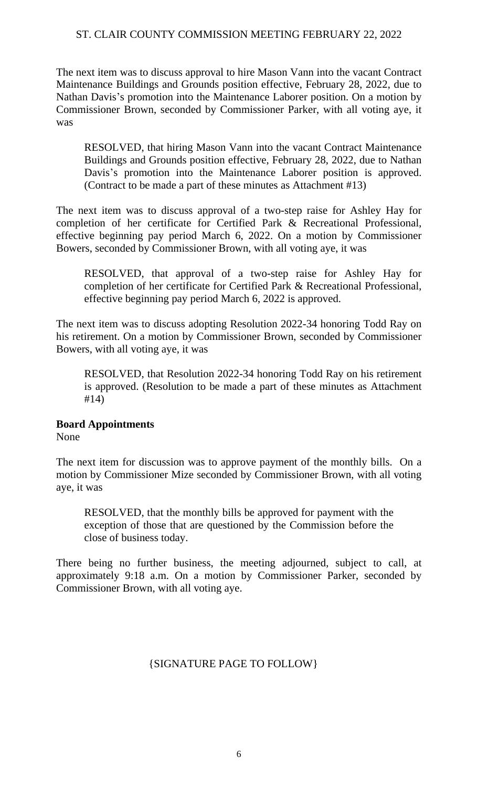The next item was to discuss approval to hire Mason Vann into the vacant Contract Maintenance Buildings and Grounds position effective, February 28, 2022, due to Nathan Davis's promotion into the Maintenance Laborer position. On a motion by Commissioner Brown, seconded by Commissioner Parker, with all voting aye, it was

RESOLVED, that hiring Mason Vann into the vacant Contract Maintenance Buildings and Grounds position effective, February 28, 2022, due to Nathan Davis's promotion into the Maintenance Laborer position is approved. (Contract to be made a part of these minutes as Attachment #13)

The next item was to discuss approval of a two-step raise for Ashley Hay for completion of her certificate for Certified Park & Recreational Professional, effective beginning pay period March 6, 2022. On a motion by Commissioner Bowers, seconded by Commissioner Brown, with all voting aye, it was

RESOLVED, that approval of a two-step raise for Ashley Hay for completion of her certificate for Certified Park & Recreational Professional, effective beginning pay period March 6, 2022 is approved.

The next item was to discuss adopting Resolution 2022-34 honoring Todd Ray on his retirement. On a motion by Commissioner Brown, seconded by Commissioner Bowers, with all voting aye, it was

RESOLVED, that Resolution 2022-34 honoring Todd Ray on his retirement is approved. (Resolution to be made a part of these minutes as Attachment #14)

## **Board Appointments**

None

The next item for discussion was to approve payment of the monthly bills. On a motion by Commissioner Mize seconded by Commissioner Brown, with all voting aye, it was

RESOLVED, that the monthly bills be approved for payment with the exception of those that are questioned by the Commission before the close of business today.

There being no further business, the meeting adjourned, subject to call, at approximately 9:18 a.m. On a motion by Commissioner Parker, seconded by Commissioner Brown, with all voting aye.

## {SIGNATURE PAGE TO FOLLOW}